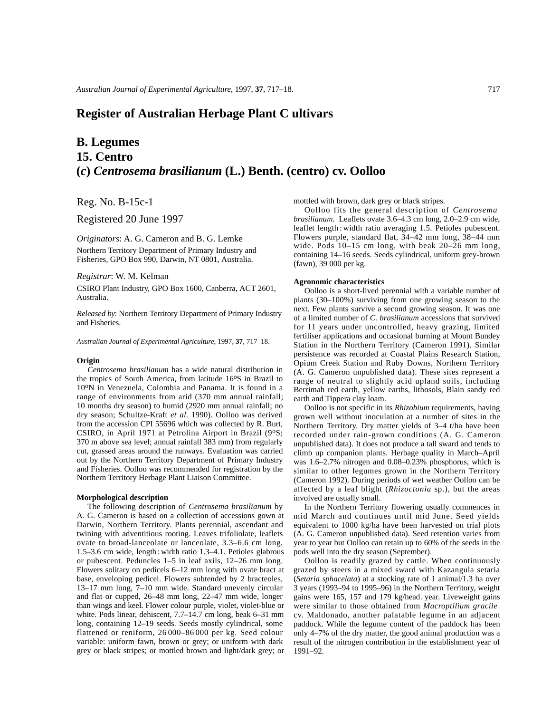# **Register of Australian Herbage Plant C ultivars**

# **B. Legumes 15. Centro (***c***)** *Centrosema brasilianum* **(L.) Benth. (centro) cv. Oolloo**

Reg. No. B-15c-1

Registered 20 June 1997

*Originators*: A. G. Cameron and B. G. Lemke

Northern Territory Department of Primary Industry and Fisheries, GPO Box 990, Darwin, NT 0801, Australia.

## *Registrar*: W. M. Kelman

CSIRO Plant Industry, GPO Box 1600, Canberra, ACT 2601, Australia.

*Released by*: Northern Territory Department of Primary Industry and Fisheries.

*Australian Journal of Experimental Agriculture*, 1997, **37**, 717–18.

#### **Origin**

*Centrosema brasilianum* has a wide natural distribution in the tropics of South America, from latitude 16°S in Brazil to 10oN in Venezuela, Colombia and Panama. It is found in a range of environments from arid (370 mm annual rainfall; 10 months dry season) to humid (2920 mm annual rainfall; no dry season; Schultze-Kraft *et al*. 1990). Oolloo was derived from the accession CPI 55696 which was collected by R. Burt, CSIRO, in April 1971 at Petrolina Airport in Brazil (9°S; 370 m above sea level; annual rainfall 383 mm) from regularly cut, grassed areas around the runways. Evaluation was carried out by the Northern Territory Department of Primary Industry and Fisheries. Oolloo was recommended for registration by the Northern Territory Herbage Plant Liaison Committee.

# **Morphological description**

The following description of *Centrosema brasilianum* by A. G. Cameron is based on a collection of accessions gown at Darwin, Northern Territory. Plants perennial, ascendant and twining with adventitious rooting. Leaves trifoliolate, leaflets ovate to broad-lanceolate or lanceolate, 3.3–6.6 cm long, 1.5–3.6 cm wide, length : width ratio 1.3–4.1. Petioles glabrous or pubescent. Peduncles 1–5 in leaf axils, 12–26 mm long. Flowers solitary on pedicels 6–12 mm long with ovate bract at base, enveloping pedicel. Flowers subtended by 2 bracteoles, 13–17 mm long, 7–10 mm wide. Standard unevenly circular and flat or cupped, 26–48 mm long, 22–47 mm wide, longer than wings and keel. Flower colour purple, violet, violet-blue or white. Pods linear, dehiscent, 7.7–14.7 cm long, beak 6–31 mm long, containing 12–19 seeds. Seeds mostly cylindrical, some flattened or reniform, 26 000–86 000 per kg. Seed colour variable: uniform fawn, brown or grey; or uniform with dark grey or black stripes; or mottled brown and light/dark grey; or

mottled with brown, dark grey or black stripes.

Oolloo fits the general description of *Centrosema brasilianum.* Leaflets ovate 3.6–4.3 cm long, 2.0–2.9 cm wide, leaflet length : width ratio averaging 1.5. Petioles pubescent. Flowers purple, standard flat, 34–42 mm long, 38–44 mm wide. Pods 10–15 cm long, with beak 20–26 mm long, containing 14–16 seeds. Seeds cylindrical, uniform grey-brown (fawn), 39 000 per kg.

#### **Agronomic characteristics**

Oolloo is a short-lived perennial with a variable number of plants (30–100%) surviving from one growing season to the next. Few plants survive a second growing season. It was one of a limited number of *C. brasilianum* accessions that survived for 11 years under uncontrolled, heavy grazing, limited fertiliser applications and occasional burning at Mount Bundey Station in the Northern Territory (Cameron 1991). Similar persistence was recorded at Coastal Plains Research Station, Opium Creek Station and Ruby Downs, Northern Territory (A. G. Cameron unpublished data). These sites represent a range of neutral to slightly acid upland soils, including Berrimah red earth, yellow earths, lithosols, Blain sandy red earth and Tippera clay loam.

Oolloo is not specific in its *Rhizobium* requirements, having grown well without inoculation at a number of sites in the Northern Territory. Dry matter yields of 3–4 t/ha have been recorded under rain-grown conditions (A. G. Cameron unpublished data). It does not produce a tall sward and tends to climb up companion plants. Herbage quality in March–April was 1.6–2.7% nitrogen and 0.08–0.23% phosphorus, which is similar to other legumes grown in the Northern Territory (Cameron 1992). During periods of wet weather Oolloo can be affected by a leaf blight (*Rhizoctonia* sp.), but the areas involved are usually small.

In the Northern Territory flowering usually commences in mid March and continues until mid June. Seed yields equivalent to 1000 kg/ha have been harvested on trial plots (A. G. Cameron unpublished data). Seed retention varies from year to year but Oolloo can retain up to 60% of the seeds in the pods well into the dry season (September).

Oolloo is readily grazed by cattle. When continuously grazed by steers in a mixed sward with Kazangula setaria (*Setaria sphacelata*) at a stocking rate of 1 animal/1.3 ha over 3 years (1993–94 to 1995–96) in the Northern Territory, weight gains were 165, 157 and 179 kg/head. year. Liveweight gains were similar to those obtained from *Macroptilium gracile* cv. Maldonado, another palatable legume in an adjacent paddock. While the legume content of the paddock has been only 4–7% of the dry matter, the good animal production was a result of the nitrogen contribution in the establishment year of 1991–92.